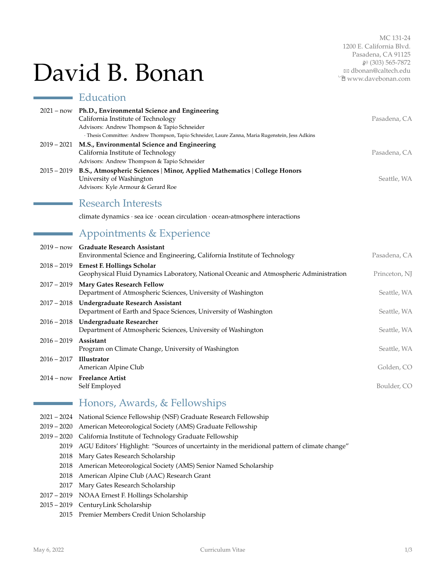# David B. Bonan

MC 131-24 1200 E. California Blvd. Pasadena, CA 91125 H (303) 565-7872 B [dbonan@caltech.edu](mailto:dbonan@caltech.edu) Í [www.davebonan.com](http://www.davebonan.com)

|               | Education                                                                                                                                                                                                                                        |               |
|---------------|--------------------------------------------------------------------------------------------------------------------------------------------------------------------------------------------------------------------------------------------------|---------------|
|               | 2021 - now Ph.D., Environmental Science and Engineering<br>California Institute of Technology<br>Advisors: Andrew Thompson & Tapio Schneider<br>· Thesis Committee: Andrew Thompson, Tapio Schneider, Laure Zanna, Maria Rugenstein, Jess Adkins | Pasadena, CA  |
| $2019 - 2021$ | M.S., Environmental Science and Engineering<br>California Institute of Technology<br>Advisors: Andrew Thompson & Tapio Schneider                                                                                                                 | Pasadena, CA  |
| $2015 - 2019$ | B.S., Atmospheric Sciences   Minor, Applied Mathematics   College Honors<br>University of Washington<br>Advisors: Kyle Armour & Gerard Roe                                                                                                       | Seattle, WA   |
|               | <b>Research Interests</b>                                                                                                                                                                                                                        |               |
|               | climate dynamics · sea ice · ocean circulation · ocean-atmosphere interactions                                                                                                                                                                   |               |
|               | Appointments & Experience                                                                                                                                                                                                                        |               |
| $2019 - now$  | <b>Graduate Research Assistant</b><br>Environmental Science and Engineering, California Institute of Technology                                                                                                                                  | Pasadena, CA  |
| $2018 - 2019$ | <b>Ernest F. Hollings Scholar</b><br>Geophysical Fluid Dynamics Laboratory, National Oceanic and Atmospheric Administration                                                                                                                      | Princeton, NJ |
| $2017 - 2019$ | Mary Gates Research Fellow<br>Department of Atmospheric Sciences, University of Washington                                                                                                                                                       | Seattle, WA   |
|               | 2017 - 2018 Undergraduate Research Assistant<br>Department of Earth and Space Sciences, University of Washington                                                                                                                                 | Seattle, WA   |
| $2016 - 2018$ | <b>Undergraduate Researcher</b><br>Department of Atmospheric Sciences, University of Washington                                                                                                                                                  | Seattle, WA   |
| $2016 - 2019$ | Assistant<br>Program on Climate Change, University of Washington                                                                                                                                                                                 | Seattle, WA   |
| $2016 - 2017$ | <b>Illustrator</b><br>American Alpine Club                                                                                                                                                                                                       | Golden, CO    |
|               | 2014 - now Freelance Artist<br>Self Employed                                                                                                                                                                                                     | Boulder, CO   |

# Honors, Awards, & Fellowships

- 2021 2024 National Science Fellowship (NSF) Graduate Research Fellowship
- 2019 2020 American Meteorological Society (AMS) Graduate Fellowship
- 2019 2020 California Institute of Technology Graduate Fellowship
	- 2019 AGU Editors' Highlight: "Sources of uncertainty in the meridional pattern of climate change"
	- 2018 Mary Gates Research Scholarship
	- 2018 American Meteorological Society (AMS) Senior Named Scholarship
	- 2018 American Alpine Club (AAC) Research Grant
	- 2017 Mary Gates Research Scholarship
- 2017 2019 NOAA Ernest F. Hollings Scholarship
- 2015 2019 CenturyLink Scholarship
	- 2015 Premier Members Credit Union Scholarship

 $\overline{\phantom{a}}$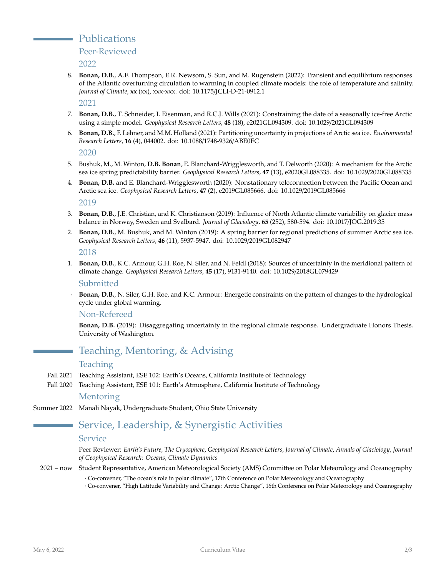Publications

Peer-Reviewed

2022

8. **Bonan, D.B.**, A.F. Thompson, E.R. Newsom, S. Sun, and M. Rugenstein (2022): Transient and equilibrium responses of the Atlantic overturning circulation to warming in coupled climate models: the role of temperature and salinity. *Journal of Climate*, **xx** (xx), xxx-xxx. doi: 10.1175/JCLI-D-21-0912.1

2021

- 7. **Bonan, D.B.**, T. Schneider, I. Eisenman, and R.C.J. Wills (2021): Constraining the date of a seasonally ice-free Arctic using a simple model. *Geophysical Research Letters*, **48** (18), e2021GL094309. doi: 10.1029/2021GL094309
- 6. **Bonan, D.B.**, F. Lehner, and M.M. Holland (2021): Partitioning uncertainty in projections of Arctic sea ice. *Environmental Research Letters*, **16** (4), 044002. doi: 10.1088/1748-9326/ABE0EC

2020

- 5. Bushuk, M., M. Winton, **D.B. Bonan**, E. Blanchard-Wrigglesworth, and T. Delworth (2020): A mechanism for the Arctic sea ice spring predictability barrier. *Geophysical Research Letters*, **47** (13), e2020GL088335. doi: 10.1029/2020GL088335
- 4. **Bonan, D.B.** and E. Blanchard-Wrigglesworth (2020): Nonstationary teleconnection between the Pacific Ocean and Arctic sea ice. *Geophysical Research Letters*, **47** (2), e2019GL085666. doi: 10.1029/2019GL085666

2019

- 3. **Bonan, D.B.**, J.E. Christian, and K. Christianson (2019): Influence of North Atlantic climate variability on glacier mass balance in Norway, Sweden and Svalbard. *Journal of Glaciology*, **65** (252), 580-594. doi: 10.1017/JOG.2019.35
- 2. **Bonan, D.B.**, M. Bushuk, and M. Winton (2019): A spring barrier for regional predictions of summer Arctic sea ice. *Geophysical Research Letters*, **46** (11), 5937-5947. doi: 10.1029/2019GL082947

#### 2018

1. **Bonan, D.B.**, K.C. Armour, G.H. Roe, N. Siler, and N. Feldl (2018): Sources of uncertainty in the meridional pattern of climate change. *Geophysical Research Letters*, **45** (17), 9131-9140. doi: 10.1029/2018GL079429

#### Submitted

· **Bonan, D.B.**, N. Siler, G.H. Roe, and K.C. Armour: Energetic constraints on the pattern of changes to the hydrological cycle under global warming.

#### Non-Refereed

**Bonan, D.B.** (2019): Disaggregating uncertainty in the regional climate response. Undergraduate Honors Thesis. University of Washington.

# Teaching, Mentoring, & Advising

#### Teaching

- Fall 2021 Teaching Assistant, ESE 102: Earth's Oceans, California Institute of Technology
- Fall 2020 Teaching Assistant, ESE 101: Earth's Atmosphere, California Institute of Technology

#### Mentoring

Summer 2022 Manali Nayak, Undergraduate Student, Ohio State University

# Service, Leadership, & Synergistic Activities

#### **Service**

Peer Reviewer: *Earth's Future*, *The Cryosphere*, *Geophysical Research Letters*, *Journal of Climate*, *Annals of Glaciology*, *Journal of Geophysical Research: Oceans*, *Climate Dynamics*

2021 – now Student Representative, American Meteorological Society (AMS) Committee on Polar Meteorology and Oceanography

· Co-convener, "The ocean's role in polar climate", 17th Conference on Polar Meteorology and Oceanography · Co-convener, "High Latitude Variability and Change: Arctic Change", 16th Conference on Polar Meteorology and Oceanography